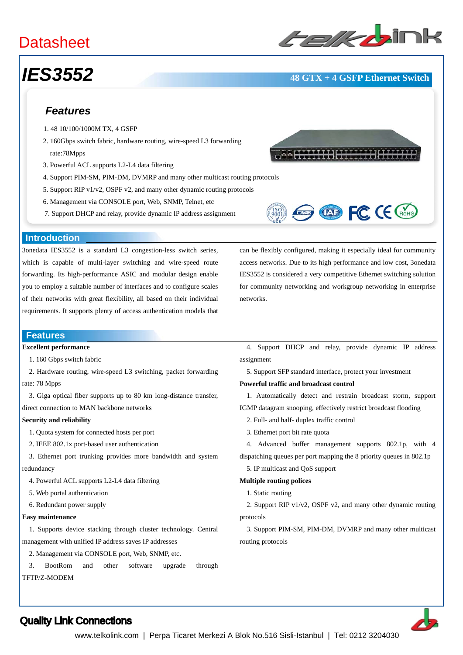## **Datasheet**

# ﹥﹥**Layer-3 Ethernet Switches**

## *IES3552* **48 GTX + 4 GSFP Ethernet Switch**

### *Features*

- 1. 48 10/100/1000M TX, 4 GSFP
- 2. 160Gbps switch fabric, hardware routing, wire-speed L3 forwarding rate:78Mpps
- 3. Powerful ACL supports L2-L4 data filtering
- 4. Support PIM-SM, PIM-DM, DVMRP and many other multicast routing protocols
- 5. Support RIP v1/v2, OSPF v2, and many other dynamic routing protocols
- 6. Management via CONSOLE port, Web, SNMP, Telnet, etc
- 7. Support DHCP and relay, provide dynamic IP address assignment





can be flexibly configured, making it especially ideal for community access networks. Due to its high performance and low cost, 3onedata IES3552 is considered a very competitive Ethernet switching solution for community networking and workgroup networking in enterprise

#### **Introduction**

3onedata IES3552 is a standard L3 congestion-less switch series, which is capable of multi-layer switching and wire-speed route forwarding. Its high-performance ASIC and modular design enable you to employ a suitable number of interfaces and to configure scales of their networks with great flexibility, all based on their individual requirements. It supports plenty of access authentication models that

#### **Features**

#### **Excellent performance**

1. 160 Gbps switch fabric

2. Hardware routing, wire-speed L3 switching, packet forwarding

rate: 78 Mpps

3. Giga optical fiber supports up to 80 km long-distance transfer,

direct connection to MAN backbone networks

#### **Security and reliability**

- 1. Quota system for connected hosts per port
- 2. IEEE 802.1x port-based user authentication
- 3. Ethernet port trunking provides more bandwidth and system redundancy
	- 4. Powerful ACL supports L2-L4 data filtering
	- 5. Web portal authentication
	- 6. Redundant power supply

#### **Easy maintenance**

 1. Supports device stacking through cluster technology. Central management with unified IP address saves IP addresses

2. Management via CONSOLE port, Web, SNMP, etc.

 3. BootRom and other software upgrade through TFTP/Z-MODEM

 4. Support DHCP and relay, provide dynamic IP address assignment

5. Support SFP standard interface, protect your investment

#### **Powerful traffic and broadcast control**

 1. Automatically detect and restrain broadcast storm, support IGMP datagram snooping, effectively restrict broadcast flooding

- 2. Full- and half- duplex traffic control
- 3. Ethernet port bit rate quota
- 4. Advanced buffer management supports 802.1p, with 4 dispatching queues per port mapping the 8 priority queues in 802.1p
	- 5. IP multicast and QoS support

#### **Multiple routing polices**

1. Static routing

networks.

 2. Support RIP v1/v2, OSPF v2, and many other dynamic routing protocols

 3. Support PIM-SM, PIM-DM, DVMRP and many other multicast routing protocols



### Quality Link Connections